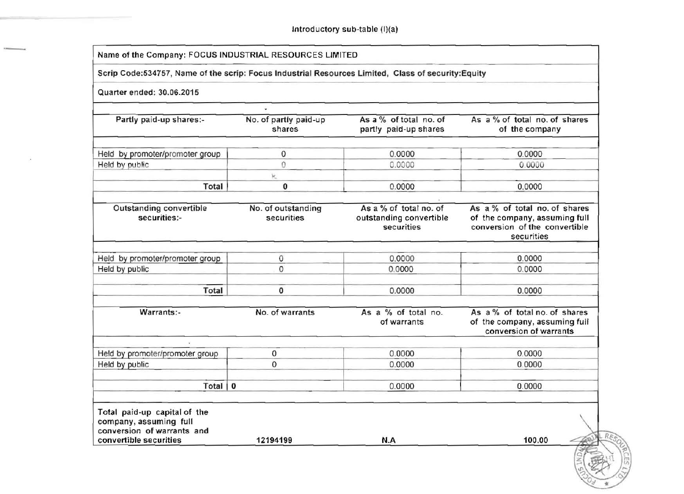| Quarter ended: 30.06.2015<br>Partly paid-up shares:-<br>Held by promoter/promoter group<br>Held by public<br>Total | No. of partly paid-up<br>shares<br>$\mathbf 0$<br>$\Omega$                                                                                                                     | Scrip Code:534757, Name of the scrip: Focus Industrial Resources Limited, Class of security:Equity<br>As a % of total no. of<br>partly paid-up shares<br>0.0000 | As a % of total no. of shares<br>of the company                                                               |  |  |
|--------------------------------------------------------------------------------------------------------------------|--------------------------------------------------------------------------------------------------------------------------------------------------------------------------------|-----------------------------------------------------------------------------------------------------------------------------------------------------------------|---------------------------------------------------------------------------------------------------------------|--|--|
|                                                                                                                    |                                                                                                                                                                                |                                                                                                                                                                 |                                                                                                               |  |  |
|                                                                                                                    |                                                                                                                                                                                |                                                                                                                                                                 |                                                                                                               |  |  |
|                                                                                                                    |                                                                                                                                                                                |                                                                                                                                                                 |                                                                                                               |  |  |
|                                                                                                                    |                                                                                                                                                                                |                                                                                                                                                                 |                                                                                                               |  |  |
|                                                                                                                    |                                                                                                                                                                                |                                                                                                                                                                 | 0.0000                                                                                                        |  |  |
|                                                                                                                    |                                                                                                                                                                                | 0.0000                                                                                                                                                          | 0.0000                                                                                                        |  |  |
|                                                                                                                    | k.                                                                                                                                                                             |                                                                                                                                                                 |                                                                                                               |  |  |
|                                                                                                                    | 0                                                                                                                                                                              | 0.0000                                                                                                                                                          | 0.0000                                                                                                        |  |  |
|                                                                                                                    |                                                                                                                                                                                |                                                                                                                                                                 |                                                                                                               |  |  |
| Outstanding convertible<br>securities:-                                                                            | No. of outstanding<br>securities                                                                                                                                               | As a % of total no. of<br>outstanding convertible<br>securities                                                                                                 | As a % of total no. of shares<br>of the company, assuming full<br>conversion of the convertible<br>securities |  |  |
|                                                                                                                    |                                                                                                                                                                                |                                                                                                                                                                 | 0.0000                                                                                                        |  |  |
|                                                                                                                    | $\mathbf 0$                                                                                                                                                                    | 0.0000                                                                                                                                                          | 0.0000                                                                                                        |  |  |
| Total                                                                                                              | 0                                                                                                                                                                              | 0.0000                                                                                                                                                          | 0.0000                                                                                                        |  |  |
|                                                                                                                    |                                                                                                                                                                                |                                                                                                                                                                 |                                                                                                               |  |  |
|                                                                                                                    |                                                                                                                                                                                | of warrants                                                                                                                                                     | As a % of total no. of shares<br>of the company, assuming full<br>conversion of warrants                      |  |  |
|                                                                                                                    |                                                                                                                                                                                |                                                                                                                                                                 |                                                                                                               |  |  |
|                                                                                                                    |                                                                                                                                                                                |                                                                                                                                                                 | 0.0000                                                                                                        |  |  |
|                                                                                                                    |                                                                                                                                                                                |                                                                                                                                                                 | 0.0000                                                                                                        |  |  |
|                                                                                                                    |                                                                                                                                                                                | 0.0000                                                                                                                                                          | 0.0000                                                                                                        |  |  |
|                                                                                                                    | Held by promoter/promoter group<br>Held by public<br>Warrants:-<br>Held by promoter/promoter group<br>Held by public<br>Total paid-up capital of the<br>company, assuming full | 0<br>No. of warrants<br>$\mathsf{O}\xspace$<br>$\mathsf{O}\xspace$<br>Total   0                                                                                 | 0.0000<br>As a % of total no.<br>0.0000<br>0.0000                                                             |  |  |

z  $\circ$ ~  $\frac{1}{2}$ 

 $\rm \, \overline{5}$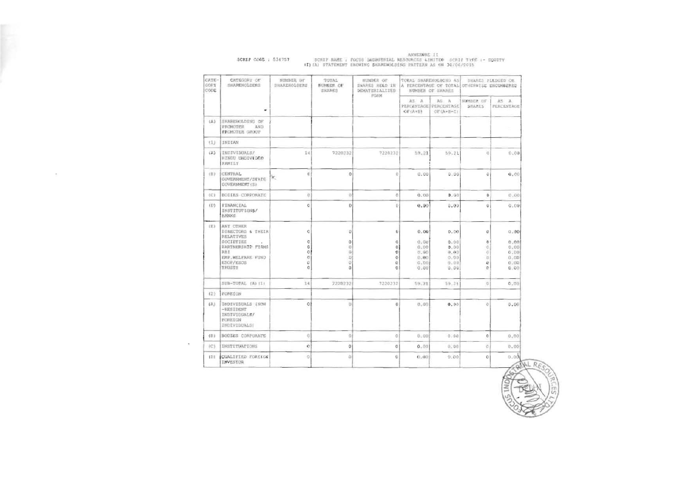| CATE-<br>GORY<br>CODE | CATEGORY OF<br>SHARENOLDERS                                                       | NUMBER OF<br>SHAREHOLDERS                                      | TOTAL<br>NUMBER OF<br>SHARES                                    | <b>NUMBER OF</b><br>SNARKS HELD IN<br><b>DEMATERIALIZED</b><br>FORM |                                               | TOTAL SHAREMOLDING AS<br>A PERCENTAGE OF TOTAL OTHERWISE ENCOMBERED<br>NUMBER OF SHARES |                                    | SHARES PLEDGED OR                            |
|-----------------------|-----------------------------------------------------------------------------------|----------------------------------------------------------------|-----------------------------------------------------------------|---------------------------------------------------------------------|-----------------------------------------------|-----------------------------------------------------------------------------------------|------------------------------------|----------------------------------------------|
|                       | ۰                                                                                 |                                                                |                                                                 |                                                                     |                                               | AS: A<br>PERCENTAGE   PERCENTAGE<br>OE(A+B+C)                                           | NIMBER OF<br><b>SHARES</b>         | AS A<br>PERCENTAGE                           |
| (A)                   | SHAREHOLDING OF<br>PROMOTER<br>AND<br>PROMOTER GROUP                              |                                                                |                                                                 |                                                                     |                                               |                                                                                         |                                    |                                              |
| Y13                   | INDIAN                                                                            |                                                                |                                                                 |                                                                     |                                               |                                                                                         |                                    |                                              |
| (A)                   | INDIVIBUALS/<br><b>BINDU UNDIVIDED</b><br><b>FAMILY</b>                           | 14                                                             | 7220232                                                         | 7220232                                                             | 59.21                                         | 59.21                                                                                   | i0.                                | 0.00                                         |
| (日)                   | CENTRAL<br>GOVERNMENT/STATE<br>GOVERNMENT (S)                                     | Ú.<br>к.                                                       | $\Omega$                                                        | ö                                                                   | 0.00                                          | 0.00                                                                                    | Ü.                                 | 9.00                                         |
| 403                   | BODIES CORPORATE                                                                  | $\dot{0}$                                                      | $\alpha$                                                        | $\alpha$                                                            | 0.00                                          | 0.00                                                                                    | $\ddot{\mathbf{O}}$                | 0.00                                         |
| (133)                 | FINANCIAL<br>INSTITUTIONS/<br><b>BANKS</b>                                        | $\alpha$                                                       | Ü.                                                              | ō                                                                   | 0.00                                          | 0.00                                                                                    | Ü                                  | $Q = 0.0$                                    |
| (E)                   | <b>ANY OTHER</b><br>DIRECTORS & THEIR<br>RELATIVES                                | o                                                              | D.                                                              | $\mathbf 0$                                                         | 0.00                                          | 0.00                                                                                    | Ű                                  | 0.00                                         |
|                       | SOCIETIES<br>PARTNERSHIP FIRMS<br>3B1<br>EMP. WELFARE FUND<br>ESOP/ESOS<br>TRUSTS | $\circ$<br>$\mathbf{0}$<br>$\circ$<br>$\alpha$<br>ö<br>$\circ$ | $\circ$<br>$\circ$<br>$\mathfrak{g}$<br>$\mathbb{D}$<br>ö<br>ò. | $\circ$<br>$\circ$<br>$\mathbf{O}$<br>$\circ$<br>ü<br>Ó             | 0.00<br>0.00<br>0.90<br>0.00<br>0.00.<br>0.00 | 0.00<br>0.00<br>0.00<br>0.00<br>0.00<br>0.00                                            | $\circ$<br>Ö.<br>ö<br>D.<br>D<br>D | 0.00<br>0.00<br>0.00<br>0.00<br>0.00<br>0.00 |
|                       | SUB-TOTAL (A) (1)                                                                 | 14                                                             | 7220232                                                         | 7220232                                                             | 59.71                                         | 59.21                                                                                   | $\circ$                            | 0.00                                         |
| (2)                   | FOREIGN                                                                           |                                                                |                                                                 |                                                                     |                                               |                                                                                         |                                    |                                              |
| (A)                   | INDIVIDUALS INON<br>-BESIDENT<br>INDIVIDUALS/<br>FOREIGN<br>INDIVIDUALS           | $\circ$                                                        | D)                                                              | $\overline{Q}$                                                      | 0.00                                          | 0.00                                                                                    | ö                                  | 0.06                                         |
| (B)                   | BODIES CORPORATE                                                                  | G.                                                             | $\Omega$                                                        | $\circ$                                                             | 0.00                                          | 0.00                                                                                    | $\mathbf{0}$                       | 0.00                                         |
| $\{C\}$               | <b>INSTITUATIONS</b>                                                              | $\alpha$                                                       | 0                                                               | $\alpha$                                                            | $0 - 00$                                      | 0.00                                                                                    | ö                                  | 0.00                                         |
| 101                   | <b>CUALIFIED FOREIGN</b><br>INVESTOR                                              | $\circ$                                                        | ö.                                                              | Ü                                                                   | 0.00                                          | 0.00                                                                                    | 0                                  | 0.00                                         |

 $\sim$ 

## ANNEXURE II<br>SCRIP NAME : POCUS IMEGISTRIAL RESOURCES LIMITED SCRIP TYPE :- SQUITY<br>(I)(A) STATEMENT SHOWING SHAREWOLDING PATTERN AS ON 30/06/2015 SCRIP COOR : 534757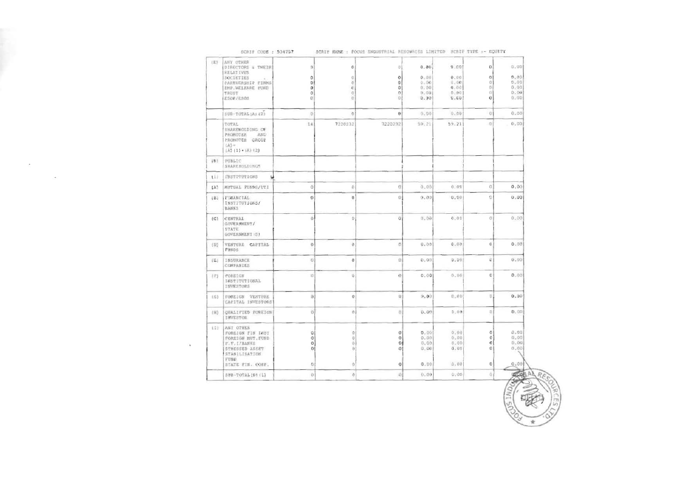| (E)        | ANY OTHER<br>DIRECTORS & THEIR<br><b>SELATIVES</b><br>SOCIETIES<br>PARTNERSHIP FIRMS<br>EMP WELFARE FUND<br>TRUST<br>ESOF/ESOS    | 0<br>o<br>O<br>o<br>0<br>Đ.                | ō<br>0<br>ō<br>ë<br>o<br>o            | $\sigma$<br>o<br>o<br>٥<br>o<br>$\circ$ | 0.00<br>0.00<br>0.06<br>0.00<br>0.001<br>9.00 | 3.001<br>0.00<br>0.00<br>0.00<br>0.00<br>0.001 | 0<br>0<br>O.<br>O.<br>G.<br>ō                   | 0.00<br>0.00<br>0.00<br>0.00<br>0.00<br>0.05 |
|------------|-----------------------------------------------------------------------------------------------------------------------------------|--------------------------------------------|---------------------------------------|-----------------------------------------|-----------------------------------------------|------------------------------------------------|-------------------------------------------------|----------------------------------------------|
|            | SUR-TOTAL(A) (2)                                                                                                                  | O.                                         | $\circ$                               | $\bf{o}$                                | 0.00                                          | 0.09                                           | $\overline{O}$                                  | 0.00                                         |
|            | TOTAL<br>SHAREWOLDING OF<br>PROMOTER<br>AND<br>PROMOTER GROUP<br>tA3 m<br>$(A) (1) + (A) (2)$                                     | 14                                         | 7220232                               | 7220232                                 | 59.21                                         | 59.21                                          | $\circ$                                         | 0.00                                         |
| <b>IBT</b> | PUBLIC<br>SHAREMOLDINGS                                                                                                           |                                            |                                       |                                         |                                               |                                                |                                                 |                                              |
| 111        | INSTITUTIONS                                                                                                                      |                                            |                                       |                                         |                                               |                                                |                                                 |                                              |
| (N)        | MUTUAL FUNDS/UTI                                                                                                                  | $\ddot{\rm{o}}$                            | Đ                                     | ū                                       | 0.00                                          | 0.01                                           | Ū                                               | 0.00                                         |
| (B)        | FINANCIAL<br>INSTITUTIONS/<br>BANK5                                                                                               | O                                          | 0                                     | O.                                      | 0.00                                          | 0.00                                           | ö                                               | 0.00                                         |
| (C)        | <b>CENTRAL</b><br>GOVERMENT/<br>STATE.<br>GOVERNMENT (S)                                                                          | $\ddot{\rm{o}}$                            | $\mathbb{D}$                          | $\mathbb G$                             | 0.00                                          | 0.00                                           | ö                                               | 0.00                                         |
| (10)       | VENTURE CAPITAL<br><b>FUNDS</b>                                                                                                   | $\circ$                                    | O.                                    | ø                                       | 0.00                                          | 0.00                                           | 0                                               | 0.00                                         |
| (E)        | INSURANCE<br><b>COMPANIES</b>                                                                                                     | O,                                         | o                                     | $\Omega$                                | 0.00                                          | 0.00                                           | Ü                                               | 0:00                                         |
| $($ F)     | <b>FOREIGN</b><br>INSTITUTIONAL<br>INVESTORS                                                                                      | $\mathbbm{C}$                              | Ü,                                    | o                                       | 0.00                                          | 0.00                                           | o                                               | $0 - 0.0$                                    |
| 3.02.3     | FOREIGN VENTURE<br>CAPITAL INVESTORS                                                                                              | $\overline{0}$                             | $\circ$                               | 9                                       | 9.00                                          | 0.00                                           | U.                                              | 0.00                                         |
| (16)       | <b>QUALIFIED FOREIGN</b><br><b>INVESTOR</b>                                                                                       | $\alpha$                                   | $\sigma$                              | Q.                                      | 0.00                                          | 0.09                                           | 5)                                              | 0.00                                         |
| 111        | ANY OTHER<br>FOREIGN FIN INST<br>FOREIGN NUT. FUND<br>F.F.I/BANKS<br>STRESSED ASSET<br>STABILISATION<br>FUND.<br>STATE PIN. CORP. | Q<br>$\circ$<br>$\Omega$<br>$\Omega$<br>b) | $\circ$<br>Ü.<br>öì<br>Đ.<br>$\Omega$ | 0<br>$\theta$<br>O.<br>٥<br>0           | 0.001<br>0.00<br>0.00<br>0.00<br>0.00         | 0.00<br>0.00<br>6.00<br>0.00<br>0.00           | $\circ$<br>$\circ$<br>$\sigma$<br>$\Omega$<br>0 | 0.00.0<br>0.00<br>0.00<br>0.00<br>0.00       |
|            | SUB-TOTALIB1(1)                                                                                                                   | Ü.                                         | $\sigma$                              | 浙                                       | 0.00                                          | 0.00                                           | ö.                                              | 40.00                                        |

 $\sim 100$ 

 $\sim$ 

×.

SCRIP NAME : POCUS INDUSTRIAL RESOURCES LIMITED SCRIP TYPE :- EQUITY SCRIF CODE : 534757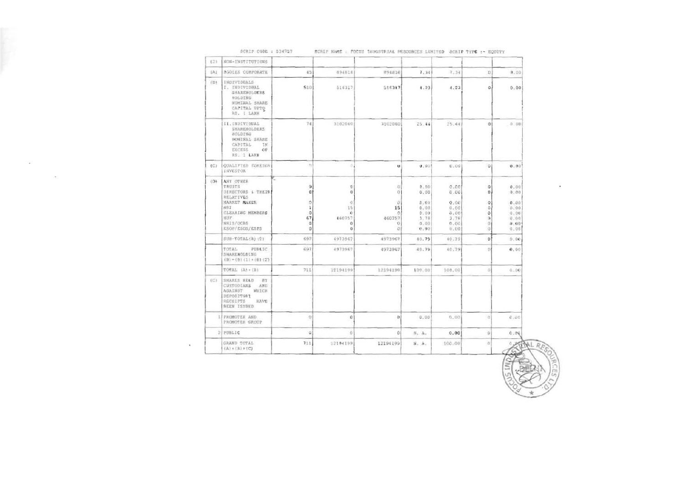| IAI. | <b>BODIES CORPORATE</b>                                                                                                        | 45                                                                                         | 894818                                              | 894818                                          | 7, 34                                             | 7.34                                           | D                                             | 0.00                                         |
|------|--------------------------------------------------------------------------------------------------------------------------------|--------------------------------------------------------------------------------------------|-----------------------------------------------------|-------------------------------------------------|---------------------------------------------------|------------------------------------------------|-----------------------------------------------|----------------------------------------------|
| (8)  | <b>INDIVIDUALS</b><br>I. INDIVIDUAL<br><b>SHAREHOLDERS</b><br>HOLDING.<br>NOMINAL SHARE<br>CAPITAL UPTO<br>RS.   LAXH          | 510                                                                                        | 516317                                              | 516317                                          | 4.23                                              | 4.23                                           | $\Omega$                                      | 0.00                                         |
|      | II.INDIVIDUAL<br>SHAREHOLDERS<br>ROLDING<br>NONINAL SHARE<br>CAPITAL<br>2M<br><b>EXCESS</b><br>OF<br>RS. 1 LARH                | 741                                                                                        | 3102060                                             | 3102060                                         | 25.44                                             | 25.44                                          | 01                                            | 0:00                                         |
|      | (C) QUALIFIED FOREIGN<br><b>INVESTOR</b>                                                                                       | $^{\dagger}$                                                                               | $\beta$                                             | $\mathbf{u}$                                    | 0.001                                             | 0.00                                           | $\Omega$                                      | 0.00'                                        |
|      | (D) ANY OTHER<br>TAUSTS<br><b>UIRECTORS &amp; THEIR</b><br><b>RELATIVES</b><br>MARKET MAKER<br>NBI<br>CLEARING MEMBERS<br>HUP. | $\hat{\mathbf{U}}$<br>$\mathbf u$<br>$\circ$<br>$\overline{\phantom{a}}$<br>$\theta$<br>67 | $\circ$<br>$\circ$<br>-O<br>15<br>$\circ$<br>460757 | $\circ$<br>$^{\circ}$<br>o<br>15<br>O<br>460757 | $0 - 00$<br>0.00<br>0.110<br>0.00<br>0.00<br>3.78 | 0.001<br>0.00<br>Q.00<br>0.04<br>0.001<br>3.78 | $\ddot{\mathbf{Q}}$<br>D<br>$\mathbf{O}$<br>n | 0.00<br>0.00<br>0.00<br>0.00<br>0.00<br>0.00 |
|      | NRIS/OCBS<br>ESOP/ESOS/ESPS                                                                                                    | $\alpha$<br>$\theta$                                                                       | $^{\circ}$<br>O                                     | 10<br>o                                         | 0.00<br>0.90                                      | 0.00<br>0.00                                   |                                               | 8.00<br>0.00                                 |
|      | SUB-TOTAL(B) (2)                                                                                                               | 697                                                                                        | 4973967                                             | 4973967                                         | 40.79                                             | 40.79                                          | $\Omega$                                      | 0.00.                                        |
|      | TOTAL<br>PUBLIC<br>SHARENOLDING<br>$(B) = (B) (1) + (B) (2)$                                                                   | 697                                                                                        | 4973967                                             | 4973967                                         | 40.79                                             | 40.79                                          | D                                             | 0.00                                         |
|      | TOTAL (Ai+(B)                                                                                                                  | 711                                                                                        | 12194199                                            | 12194190                                        | 100.00                                            | 100,00                                         | 01                                            | 0.00                                         |
|      | (C) SHARES HELD BY<br>CUSTODIANS AMD<br>WHICH<br>AGAINST<br>DEPOSITORY<br>RECEIPTS<br>HAVE<br><b>BEEN ISSUED</b>               |                                                                                            |                                                     |                                                 |                                                   |                                                |                                               |                                              |
|      | FROMOTER AND<br>PRONOTER GROUP                                                                                                 | D                                                                                          | $\Omega$                                            | D                                               | 0.00                                              | 0.00                                           | -81                                           | 0.00                                         |
|      | $2$ PUBLIC                                                                                                                     | ٠                                                                                          | o                                                   | O.                                              | $B_1$ . As                                        | 0.00                                           | $\frac{1}{2}$                                 | 0.79                                         |
|      | GRAND TOTAL<br>$(A) * (B) * (C)$                                                                                               | 711.                                                                                       | 12194199                                            | 12194199                                        | $B_+$ $B_+$                                       | 100.001                                        | $\alpha$                                      | 0.191                                        |

 $\alpha$  . The contract of the contract of the contract of the contract of the contract of the contract of the contract of the contract of the contract of the contract of the contract of the contract of the contract of the co

 $\label{eq:2.1} \frac{1}{2} \frac{d\mathcal{L}}{d\mathcal{L}} = \frac{1}{2} \sum_{i=1}^n \frac{d\mathcal{L}}{d\mathcal{L}} \left( \frac{d\mathcal{L}}{d\mathcal{L}} \right)$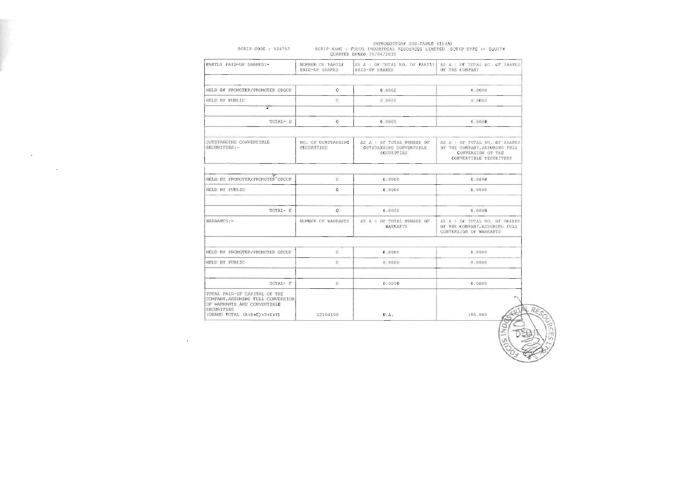| PARTLY PAID-UP SHARES:-                                                                                                                       | NUMBER OF PARTLY<br><b>FAID-UP SHARES</b> | AS A OF TOTAL NO. OF PARTLY<br>PAID-UP SHARES                    | AS A + OF TOTAL AC. OF SHARES<br>OF THE COMPANY                                                               |
|-----------------------------------------------------------------------------------------------------------------------------------------------|-------------------------------------------|------------------------------------------------------------------|---------------------------------------------------------------------------------------------------------------|
|                                                                                                                                               |                                           |                                                                  |                                                                                                               |
| HELD BY PROMOTER/PROMOTER GROUP                                                                                                               | $\overline{0}$                            | 0.0000                                                           | 0.0000                                                                                                        |
| HELD BY FUBLIC                                                                                                                                | ò                                         | 0.0000                                                           | 0.0000                                                                                                        |
| $\ddot{\bullet}$                                                                                                                              |                                           |                                                                  |                                                                                                               |
| TOTAL- D                                                                                                                                      | $\theta$                                  | 0.0000                                                           | 0.0000                                                                                                        |
|                                                                                                                                               |                                           |                                                                  |                                                                                                               |
| OUTSTANDING CONVERTIBLE<br>SECURITIES:-                                                                                                       | NO. OF OUTSTANDING<br>SECURITIES          | AS A OF TOTAL MUMBER OF<br>OUTSTANDING CONVERTIBLE<br>SECURITIES | AS A 1 OF TOTAL NO. OF SHARES<br>OF THE COMPANY, ASSOMING FULL<br>CONVERSION OF THE<br>CONVERTIBLE SECURITEIS |
|                                                                                                                                               |                                           |                                                                  |                                                                                                               |
| HELD BY PROMOTER/FROMOTER GROUP                                                                                                               | ü                                         | 1,0000                                                           | 0.0000                                                                                                        |
| HELD BY PUBLIC                                                                                                                                | $\alpha$                                  | 0.0000                                                           | 0.0000                                                                                                        |
| TOTAL- E                                                                                                                                      | $\overline{0}$                            | 0.0000                                                           | 0.0000                                                                                                        |
| WARRANTS:-                                                                                                                                    | NUMBER OF WARRANTS                        | AS A & OF TOTAL NUMBER OF<br><b>WARRANTS</b>                     | AS A & OF TOTAL NO. OF SHARES<br>OF THE COMPANY ASSUMING FULL<br>CONVERSION OF WARRANTS                       |
|                                                                                                                                               |                                           |                                                                  |                                                                                                               |
| HELD BY PROMOTER/PROMOTER GROUP                                                                                                               | $\alpha$                                  | 0.0000                                                           | 0.0000                                                                                                        |
| HELD BY PUBLIC                                                                                                                                | $\Omega$                                  | 0.0000                                                           | 0.0000                                                                                                        |
| TOTAL- F                                                                                                                                      | O.                                        | 0.0000                                                           | 0.0000                                                                                                        |
| TOTAL PAID-UP CAPITAL OF THE<br>COMPANY, ASSUMING FULL CONVERSION<br>OF WARRANTS AND CONVERTIBLE<br>SECURITIES<br>(GRAND TOTAL (A+B+C)+D+E+F) | 12194199                                  | N.A.                                                             | 100.000                                                                                                       |

 $\sim$ 

Ŷ.

INTRODUCTORY SUB-TABLE (1)(A)<br>SCRIP NAME : FOCUS INDUSTRIAL RESOURCES LIMITED SCRIP TYPE :- EQUITY<br>QUARTER ENDED 30/06/2015 SCRIP CODE : 534757

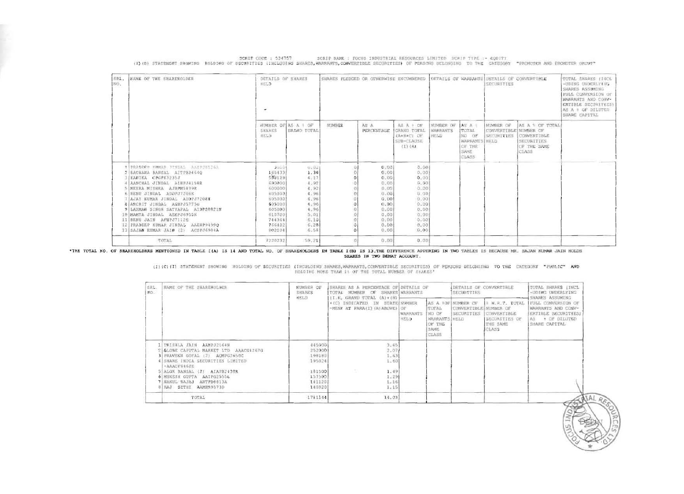| SRL.<br>MD. | NAME OF THE SHAREMOLDER                                                                                                                                                                                                                                                    | NUMBER OF<br><b>SHARES</b>                                                    | SHARES AS A PERCENTAGE OF DETAILS OF<br>TOTAL NUMBER OF SHARES WARRANTS                            |                         |                                                                   | DETAILS OF CONVERTIBLE<br>SECURITIES                      |                                                                     | TOTAL SHARES [INCL<br>-UDING UNDERLYING<br>SHARES ASSUMING<br>FULL CONVERSION OF<br>WARRANTS AND CONV-<br>ERTIBLE SECURITIES)<br>As + OF DILUTED<br>SHARE CAPITAL |
|-------------|----------------------------------------------------------------------------------------------------------------------------------------------------------------------------------------------------------------------------------------------------------------------------|-------------------------------------------------------------------------------|----------------------------------------------------------------------------------------------------|-------------------------|-------------------------------------------------------------------|-----------------------------------------------------------|---------------------------------------------------------------------|-------------------------------------------------------------------------------------------------------------------------------------------------------------------|
|             |                                                                                                                                                                                                                                                                            | <b>HELD</b>                                                                   | II.E. GRAND TOTAL (A) + (B)  <br>+ (C) INDICATED IN STATE NUMBER<br>-MENT AT PARA(I) (A) ABOVE; OF | <b>WARRANTS</b><br>HELD | <b>TOTAL</b><br>NO OF<br>WARRANTS HELD<br>OF THE<br>SAME<br>CLASS | AS A SOF NUMBER OF<br>CONVERTIBLE NUMBER OF<br>SECURITIES | I W.R.T. TUTAL<br>CONVERTIBLE<br>SECURITIES OF<br>THE SAME<br>CLASS |                                                                                                                                                                   |
|             | TRISHLA JAIN AAMPJ2164N<br>GLOBE CAPITAL MARKET LTD AAACG4267G<br>3 PRAVEEN GOYAL (2) ACMPG2650C<br>4 SHARE INDIA SECURITIES LIMITED<br>$AAACFG462E$<br>5 ALOK BANSAL (2) AIAPB2430R<br>6 MUKESH GUPTA AAIPG2555L<br>7 NAKUL BAJAJ<br>ANTPH6813A<br>8 FAJ SETHI AAMHR9573D | 445900<br>252000<br>190100<br>195024<br>181500<br>157500<br>1411207<br>140820 | 3.65<br>2.07<br>1.63<br>1.60<br>1.49<br>1.29<br>1.16<br>1.15                                       |                         |                                                                   |                                                           |                                                                     |                                                                                                                                                                   |
|             | TUTAL                                                                                                                                                                                                                                                                      | 1711144                                                                       | 14.03                                                                                              |                         |                                                                   |                                                           |                                                                     |                                                                                                                                                                   |

(I)(C)(I) STATEMENT SHOWING HOLDING OF SECURITIES (INCULDING SHARES, WARRANTS, CONVERTIBLE SECURITIES) OF PERSONS BELONGING TO THE CATEGORY "PUBLIC" AND

| SRL.<br>NO. | NAME OF THE SHAREHOLDER                                                                                                                                                                                                                                                                                                                                                                                            | DETAILS OF SHARES<br>HELD<br>$\bullet$                                                                                           |                                                                                                      | SHARES PLEDGED OR OTHERWISE ENCUMBERED |                                                                                                      |                                                                                                      |                                      |                                                                              | DETAILS OF WARRANTS DETAILS OF CONVERTIBLE<br>SECURITIES |                                                                       | TOTAL SHARES (INCL<br>-UDING UNDERLY KR.<br>SHARES ASSUMING<br>FULL CONVERSION OF<br><b>MARRANTS AND CONV-</b><br>ERTIBLE SECURITIES?<br>AS A # OF DILUTED<br>SHARE CAPITAL |
|-------------|--------------------------------------------------------------------------------------------------------------------------------------------------------------------------------------------------------------------------------------------------------------------------------------------------------------------------------------------------------------------------------------------------------------------|----------------------------------------------------------------------------------------------------------------------------------|------------------------------------------------------------------------------------------------------|----------------------------------------|------------------------------------------------------------------------------------------------------|------------------------------------------------------------------------------------------------------|--------------------------------------|------------------------------------------------------------------------------|----------------------------------------------------------|-----------------------------------------------------------------------|-----------------------------------------------------------------------------------------------------------------------------------------------------------------------------|
|             |                                                                                                                                                                                                                                                                                                                                                                                                                    | SHARES<br>HELD                                                                                                                   | NUMBER OF AS A 1 OF<br><b>GRAND TOTAL</b>                                                            | NUMBER                                 | AS A<br>PERCENTAGE                                                                                   | AS A POP<br>GRAND TOTAL<br>(A+B+C) OF<br>SUB-CLAUSE<br>$(1)$ $(A)$                                   | NUMBER OF<br><b>WARRANTS</b><br>HELD | AS A 1<br><b>ITOTAL</b><br>NO OF<br>WARRANTS HELD<br>OF THE<br>SAME<br>CLASS | NUMBER OF<br>CONVERTIBLE NUMBER OF<br><b>SECURITIES</b>  | JAS A 1 OF TOTAL<br>CONVERTIBLE<br>SECURITIES<br>OF THE SAME<br>CLASS |                                                                                                                                                                             |
|             | <b>TIPRADEER KROLAS STYDAS AARPJESSAS</b><br>RACHANA BANSAL AITPB24640<br>KANIKA CPGPK3235J<br>AANCHAL JINDAL AIHPJ4158R<br>MEERA MISHEA AJBPM5039R<br>RENU JINDAL ADDPJ7206K<br>AJAY KUMAR JINDAL ADDPJ7208H<br>ARCHIT JINDAL AGNPJ5775G<br>LAXMAN SINGN SATYAPAL AIDPS0821M<br>10 MAMTA JINDAL AEEPJ6955K<br>11 RENU JAIN AFNPJ71126<br>12 PRADEEP KUMAR JINDAL AAEHP94990<br>13 SAJAN KUNAR JAIN (2) ACSPJ6904A | $30 - 0$<br>165433<br>508129<br>690000<br>600000<br>605000<br>605000<br>605000<br>605000<br>610700<br>744364<br>766402<br>802204 | 0.02<br>1.36<br>4:17<br>4.92<br>4.92<br>4.96<br>4.96<br>4.96<br>4.96<br>5,01<br>6.10<br>6.28<br>6.58 |                                        | 0.00<br>0.00<br>0.00<br>0.00<br>0.00<br>0.00<br>0.00<br>0.00<br>0.00<br>0.00<br>0,00<br>0.00<br>0.00 | 0.00<br>0.00<br>0.00<br>0.00<br>0.00<br>0.00<br>0.00<br>0.00<br>0.00<br>0.00<br>0.00<br>0.00<br>0.00 |                                      |                                                                              |                                                          |                                                                       |                                                                                                                                                                             |
|             | TOTAL                                                                                                                                                                                                                                                                                                                                                                                                              | 7228232                                                                                                                          | 59.21                                                                                                |                                        | 0.00                                                                                                 | 0.00                                                                                                 |                                      |                                                                              |                                                          |                                                                       |                                                                                                                                                                             |

SCRIP CODE : 534757 SCRIP NAME : FOCUS INDUSTRIAL RESOURCES LIMITED SCRIP TYPE :- EQUITY<br>(1) (B) STATEMENT SNOWING HOLDING OF SECURITIES (INCLUDING SHARES, WARRANTS, CONVERTIBLE SECURITIES) OF PERSONS BELONGING TO THE CATE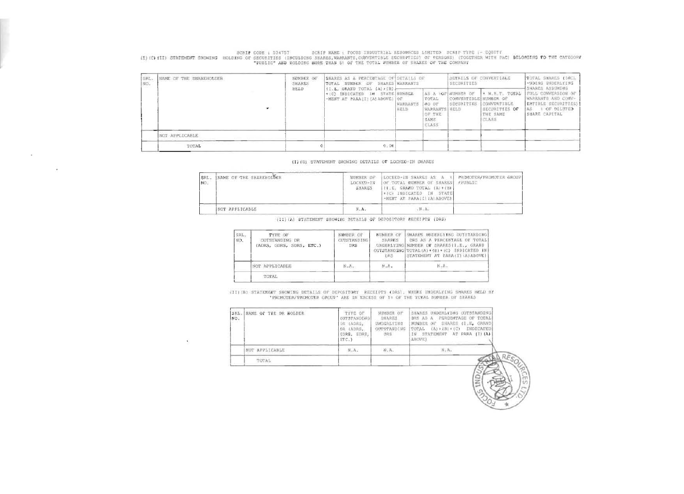SCRIP CODE : 534757 SCRIP WAME : FOCUS INDUSTRIAL RESOURCES LIMITED SCRIP TYPE :- EQUITY<br>(1) (C) (II) STATEMENT SNOWING HOLDING OF SECURITIES (INCULDING SHARES, WARRANTS, CONVERTIBLE SECURITIES) OF PERSONS) (TOGETHER WITH

| SPL.<br>NO. | <b>NAME OF THE SHAREHOLDER</b> | <b>NUMBER OF</b><br>SHARES<br>HELD<br>{I.E, GRAND TOTAL (A) (IB) } | SHARES AS A PERCENTAGE OF DETAILS OF<br>TOTAL NUMBER OF SHARES WARRANTS |                         |                                                            | DETAILS OF CONVERTIBLE<br>SECURITIES                             |                                                                      | TOTAL SHARES (INCL.<br>-UDING UNDERLYING<br>SHARES ASSUMING                                           |
|-------------|--------------------------------|--------------------------------------------------------------------|-------------------------------------------------------------------------|-------------------------|------------------------------------------------------------|------------------------------------------------------------------|----------------------------------------------------------------------|-------------------------------------------------------------------------------------------------------|
|             |                                |                                                                    | +(C) INDICATED IN STATE NUMBER<br>-MENT AT PARA (I) (A) ABOVEL OF       | <b>WASHANTS</b><br>HELD | TOTAL<br>NO DE<br>WARRANTS KELD<br>OF THE<br>SAME<br>CLASS | AS A <b>IOF NUMBER OF</b><br>CONVERTIBLE NUMBER OF<br>SECURITIES | I W.R.T. TOTAL<br>CONVERTIBLE<br>SECURITIES OF<br>THE SAME<br>CLASS. | FULL CONVERSION OF<br>WARRANTS AND CONV-<br>ERTIBLE SECURITIES)<br>OF DILUTED<br>AS.<br>SHARE CAPITAL |
|             | NOT APPLICABLE                 |                                                                    |                                                                         |                         |                                                            |                                                                  |                                                                      |                                                                                                       |
|             | TOTAL                          |                                                                    | 0.00                                                                    |                         |                                                            |                                                                  |                                                                      |                                                                                                       |

(I) (U) STATEMENT SHOWING DETAILS OF LOCKEO-IN SHARES

| SRL.<br>NO. | NAME OF THE SHAREHOLDER<br>the components of the components of the components of the components of the components of the components of th | NUMBER OF<br>LOCKED-IN<br><b>SHARES</b> | LOCKED-IN SHARES AS A &<br>OF TOTAL NUMBER OF SHARES<br>$\{I, E, GRAMD TOTAL (A) + (B)\}$<br>+(C) INDICATED IN STATE<br>-MENT AT PARA(I) IA) ABOVE! | PROMOTER/PROMOTER GROUP<br><b>/PUBLIC</b> |
|-------------|-------------------------------------------------------------------------------------------------------------------------------------------|-----------------------------------------|-----------------------------------------------------------------------------------------------------------------------------------------------------|-------------------------------------------|
|             | NOT APPLICABLE                                                                                                                            | N.A.                                    | $A \cdot M$ .                                                                                                                                       |                                           |

(II) (A) STATIMENT SHOWING DETAILS OF DEPOSITORY RECEIPTS (DRS)

| SRL.<br>NO. | TYPE OF<br>OUTSTANDING DR<br>(ADRS, GDRS, SDRS, ETC.) | NUMBER OF<br><b>OUTSTANDING</b><br>DRS | NUMBER OF<br><b>SHARES</b><br>DRS | SMARES UNDERLYING CUTSTANDING<br>DRS AS A PERCENTAGE OF TOTAL<br>UNDERLYING NUMBER DE SHARESII.E., GRAND<br>OUTSTANDING TOTAL(A) + (B) + (C) INDICATED IN]<br>STATEMENT AT PARA(I) (A) ABOVE! |
|-------------|-------------------------------------------------------|----------------------------------------|-----------------------------------|-----------------------------------------------------------------------------------------------------------------------------------------------------------------------------------------------|
|             | NOT APPLICABLE                                        | N.A.                                   | M.A.                              |                                                                                                                                                                                               |
|             | TOTAL                                                 |                                        |                                   |                                                                                                                                                                                               |

(II) (B) STATEMERT SHOWING DETAILS OF DEPOSITORY RECEIPTS (DRS), WHERE UNDERLYING SHARES HELD BY 'PROMOTER/PROMOTER GROUP' ARE IN EXCESS OF 18 OF THE TOTAL NUMBER OF SHARES

| SRL.<br>NO.<br>an an a | NAME OF THE DR NOLDER | TYPE OF<br>OUTSTANDING!<br>DE (ADRS,<br>DR LADRS.<br>GDRS, SDRS,<br>ETC. | Arthur, Mathematics Transaction<br>NUMBER OF<br>SHARES<br>UNDERLYING<br>OUTSTANDING<br><b>DRS</b> | SHARES UNDERLYING OUTSTANDING<br>DRS AS A PERCENTAGE OF TOTAL!<br>MUMBER OF SHARES (I.E. GRAND)<br>TOTAL (A) + IBI + (C)<br>INDICATED<br>IN STATEMENT AT PARA (I) (A)<br>ABOVE) |
|------------------------|-----------------------|--------------------------------------------------------------------------|---------------------------------------------------------------------------------------------------|---------------------------------------------------------------------------------------------------------------------------------------------------------------------------------|
|                        | NOT APPLICABLE        | N.A.                                                                     | W.A.                                                                                              | N.A.                                                                                                                                                                            |
|                        | TOTAL                 |                                                                          |                                                                                                   |                                                                                                                                                                                 |